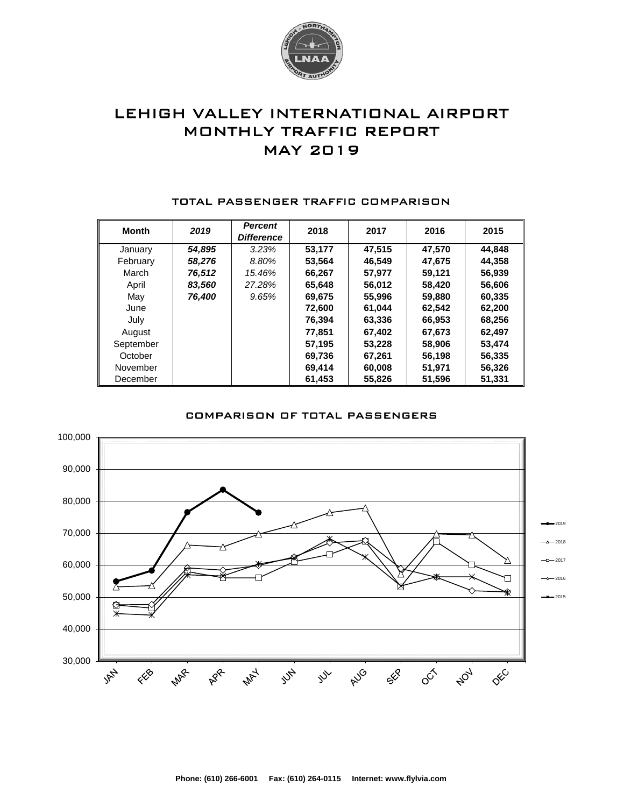

# LEHIGH VALLEY INTERNATIONAL AIRPORT MONTHLY TRAFFIC REPORT MAY 2019

| <b>Month</b> | 2019   | <b>Percent</b><br><b>Difference</b> | 2018   | 2017   | 2016   | 2015   |
|--------------|--------|-------------------------------------|--------|--------|--------|--------|
| January      | 54,895 | 3.23%                               | 53,177 | 47.515 | 47.570 | 44.848 |
| February     | 58,276 | 8.80%                               | 53,564 | 46,549 | 47,675 | 44,358 |
| March        | 76,512 | 15.46%                              | 66,267 | 57.977 | 59.121 | 56,939 |
| April        | 83,560 | 27.28%                              | 65,648 | 56,012 | 58,420 | 56,606 |
| May          | 76,400 | 9.65%                               | 69.675 | 55,996 | 59,880 | 60,335 |
| June         |        |                                     | 72,600 | 61.044 | 62,542 | 62,200 |
| July         |        |                                     | 76,394 | 63,336 | 66,953 | 68,256 |
| August       |        |                                     | 77.851 | 67,402 | 67,673 | 62,497 |
| September    |        |                                     | 57.195 | 53,228 | 58,906 | 53,474 |
| October      |        |                                     | 69,736 | 67,261 | 56,198 | 56,335 |
| November     |        |                                     | 69,414 | 60,008 | 51,971 | 56,326 |
| December     |        |                                     | 61,453 | 55,826 | 51,596 | 51,331 |

#### TOTAL PASSENGER TRAFFIC COMPARISON

### COMPARISON OF TOTAL PASSENGERS

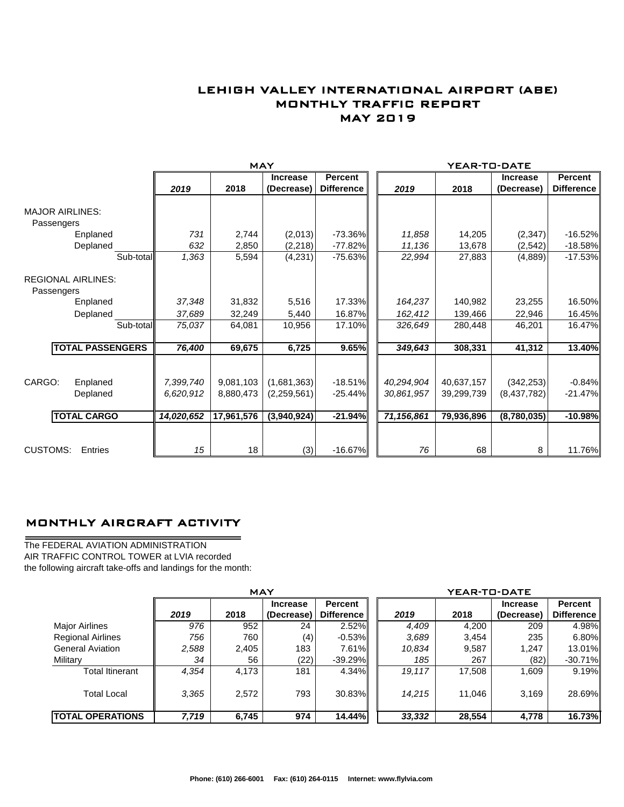## LEHIGH VALLEY INTERNATIONAL AIRPORT (ABE) MONTHLY TRAFFIC REPORT MAY 2019

|                           |                         |            | <b>MAY</b> |                               |                                     | YEAR-TO-DATE |            |                               |                                     |  |
|---------------------------|-------------------------|------------|------------|-------------------------------|-------------------------------------|--------------|------------|-------------------------------|-------------------------------------|--|
|                           |                         | 2019       | 2018       | <b>Increase</b><br>(Decrease) | <b>Percent</b><br><b>Difference</b> | 2019         | 2018       | <b>Increase</b><br>(Decrease) | <b>Percent</b><br><b>Difference</b> |  |
| <b>MAJOR AIRLINES:</b>    |                         |            |            |                               |                                     |              |            |                               |                                     |  |
| Passengers                |                         |            |            |                               |                                     |              |            |                               |                                     |  |
|                           | Enplaned                | 731        | 2,744      | (2,013)                       | $-73.36\%$                          | 11,858       | 14,205     | (2, 347)                      | $-16.52%$                           |  |
|                           | Deplaned                | 632        | 2,850      | (2,218)                       | $-77.82%$                           | 11,136       | 13,678     | (2,542)                       | $-18.58%$                           |  |
|                           | Sub-total               | 1,363      | 5,594      | (4,231)                       | $-75.63%$                           | 22,994       | 27,883     | (4,889)                       | $-17.53%$                           |  |
| <b>REGIONAL AIRLINES:</b> |                         |            |            |                               |                                     |              |            |                               |                                     |  |
| Passengers                |                         | 37,348     |            |                               | 17.33%                              |              | 140,982    |                               | 16.50%                              |  |
|                           | Enplaned                |            | 31,832     | 5,516                         |                                     | 164,237      |            | 23,255                        |                                     |  |
|                           | Deplaned                | 37,689     | 32,249     | 5,440                         | 16.87%                              | 162,412      | 139,466    | 22,946                        | 16.45%                              |  |
|                           | Sub-total               | 75,037     | 64,081     | 10,956                        | 17.10%                              | 326,649      | 280,448    | 46,201                        | 16.47%                              |  |
|                           | <b>TOTAL PASSENGERS</b> | 76,400     | 69,675     | 6,725                         | 9.65%                               | 349,643      | 308,331    | 41,312                        | 13.40%                              |  |
|                           |                         |            |            |                               |                                     |              |            |                               |                                     |  |
| CARGO:                    | Enplaned                | 7,399,740  | 9,081,103  | (1,681,363)                   | $-18.51%$                           | 40,294,904   | 40,637,157 | (342, 253)                    | $-0.84%$                            |  |
|                           | Deplaned                | 6,620,912  | 8,880,473  | (2,259,561)                   | $-25.44%$                           | 30,861,957   | 39,299,739 | (8,437,782)                   | $-21.47%$                           |  |
|                           | <b>TOTAL CARGO</b>      | 14,020,652 | 17,961,576 | (3,940,924)                   | $-21.94%$                           | 71,156,861   | 79,936,896 | (8,780,035)                   | $-10.98%$                           |  |
|                           |                         |            |            |                               |                                     |              |            |                               |                                     |  |
| <b>CUSTOMS:</b>           | Entries                 | 15         | 18         | (3)                           | $-16.67%$                           | 76           | 68         | 8                             | 11.76%                              |  |

### MONTHLY AIRCRAFT ACTIVITY

The FEDERAL AVIATION ADMINISTRATION AIR TRAFFIC CONTROL TOWER at LVIA recorded the following aircraft take-offs and landings for the month:

 $\overline{\phantom{0}}$ 

|                          | <b>MAY</b> |       |                 |                   |  | YEAR-TO-DATE |        |                 |                   |  |  |
|--------------------------|------------|-------|-----------------|-------------------|--|--------------|--------|-----------------|-------------------|--|--|
|                          |            |       | <b>Increase</b> | <b>Percent</b>    |  |              |        | <b>Increase</b> | <b>Percent</b>    |  |  |
|                          | 2019       | 2018  | (Decrease)      | <b>Difference</b> |  | 2019         | 2018   | (Decrease)      | <b>Difference</b> |  |  |
| Major Airlines           | 976        | 952   | 24              | 2.52%             |  | 4,409        | 4,200  | 209             | 4.98%             |  |  |
| <b>Regional Airlines</b> | 756        | 760   | (4)             | $-0.53\%$         |  | 3,689        | 3,454  | 235             | 6.80%             |  |  |
| <b>General Aviation</b>  | 2,588      | 2,405 | 183             | $7.61\%$          |  | 10,834       | 9,587  | 1,247           | 13.01%            |  |  |
| Military                 | 34         | 56    | (22)            | $-39.29%$         |  | 185          | 267    | (82)            | $-30.71\%$        |  |  |
| <b>Total Itinerant</b>   | 4,354      | 4.173 | 181             | $4.34\%$          |  | 19.117       | 17.508 | 1.609           | $9.19\%$          |  |  |
| <b>Total Local</b>       | 3.365      | 2,572 | 793             | 30.83%            |  | 14,215       | 11.046 | 3,169           | 28.69%            |  |  |
| <b>TOTAL OPERATIONS</b>  | 7,719      | 6,745 | 974             | 14.44%            |  | 33,332       | 28,554 | 4,778           | <b>16.73%</b>     |  |  |